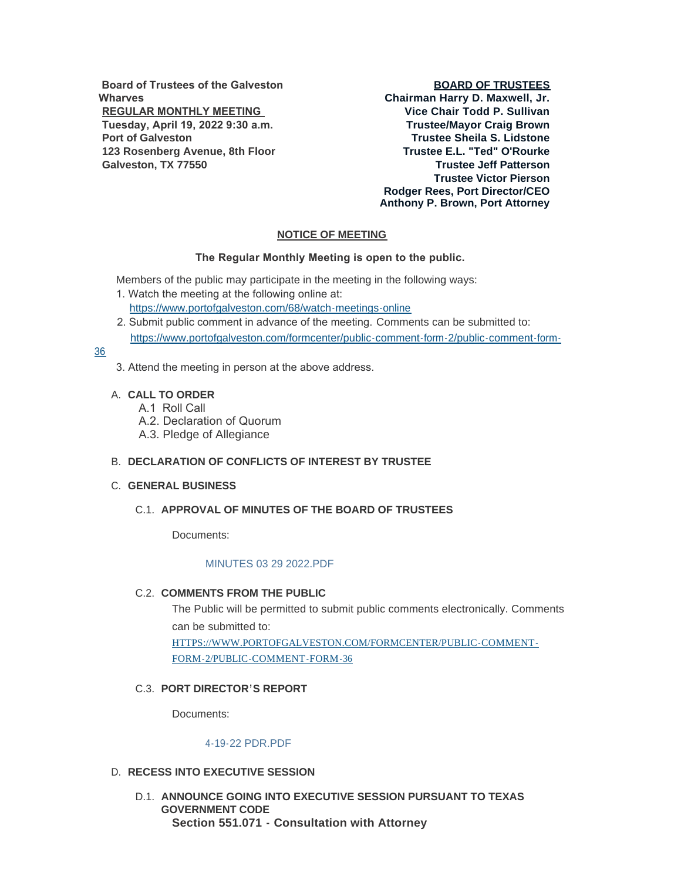**Board of Trustees of the Galveston Wharves REGULAR MONTHLY MEETING Tuesday, April 19, 2022 9:30 a.m. Port of Galveston 123 Rosenberg Avenue, 8th Floor Galveston, TX 77550**

### **BOARD OF TRUSTEES**

**Chairman Harry D. Maxwell, Jr. Vice Chair Todd P. Sullivan Trustee/Mayor Craig Brown Trustee Sheila S. Lidstone Trustee E.L. "Ted" O'Rourke Trustee Jeff Patterson Trustee Victor Pierson Rodger Rees, Port Director/CEO Anthony P. Brown, Port Attorney**

## **NOTICE OF MEETING**

#### **The Regular Monthly Meeting is open to the public.**

Members of the public may participate in the meeting in the following ways:

- 1. Watch the meeting at the following online at: [https://www.portofgalveston.com/68/watch-meetings-online](https://www.portofgalveston.com/68/Watch-Meetings-Online)
- 2. Submit public comment in advance of the meeting. Comments can be submitted to: [https://www.portofgalveston.com/formcenter/public-comment-form-2/public-comment-form-](https://www.portofgalveston.com/formcenter/public-comment-form-2/public-comment-form-36)

### 36

3. Attend the meeting in person at the above address.

## **CALL TO ORDER** A.

- A.1 Roll Call
- A.2. Declaration of Quorum
- A.3. Pledge of Allegiance

# **DECLARATION OF CONFLICTS OF INTEREST BY TRUSTEE** B.

## **GENERAL BUSINESS** C.

# **APPROVAL OF MINUTES OF THE BOARD OF TRUSTEES** C.1.

Documents:

### [MINUTES 03 29 2022.PDF](https://www.portofgalveston.com/AgendaCenter/ViewFile/Item/4767?fileID=8493)

# **C.2. COMMENTS FROM THE PUBLIC**

The Public will be permitted to submit public comments electronically. Comments can be submitted to: [HTTPS://WWW.PORTOFGALVESTON.COM/FORMCENTER/PUBLIC-COMMENT-](https://www.portofgalveston.com/FORMCENTER/PUBLIC-COMMENT-FORM-2/PUBLIC-COMMENT-FORM-36)FORM-2/PUBLIC-COMMENT-FORM-36

## **PORT DIRECTOR'S REPORT** C.3.

Documents:

### [4-19-22 PDR.PDF](https://www.portofgalveston.com/AgendaCenter/ViewFile/Item/4771?fileID=8492)

## D. RECESS INTO EXECUTIVE SESSION

D.1. ANNOUNCE GOING INTO EXECUTIVE SESSION PURSUANT TO TEXAS **GOVERNMENT CODE Section 551.071 - Consultation with Attorney**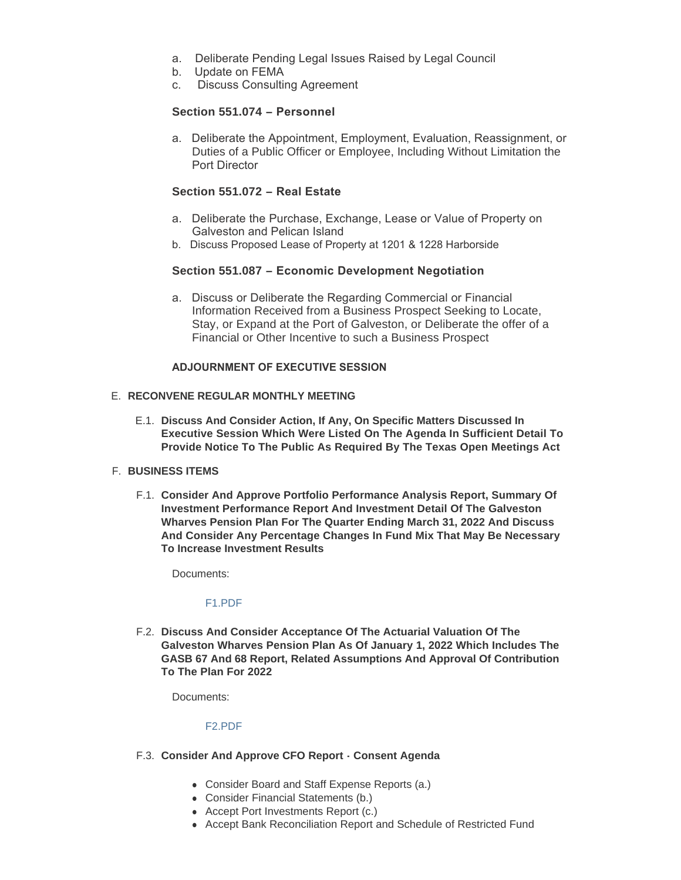- a. Deliberate Pending Legal Issues Raised by Legal Council
- b. Update on FEMA
- c. Discuss Consulting Agreement

## **Section 551.074 – Personnel**

a. Deliberate the Appointment, Employment, Evaluation, Reassignment, or Duties of a Public Officer or Employee, Including Without Limitation the Port Director

# **Section 551.072 – Real Estate**

- a. Deliberate the Purchase, Exchange, Lease or Value of Property on Galveston and Pelican Island
- b. Discuss Proposed Lease of Property at 1201 & 1228 Harborside

# **Section 551.087 – Economic Development Negotiation**

a. Discuss or Deliberate the Regarding Commercial or Financial Information Received from a Business Prospect Seeking to Locate, Stay, or Expand at the Port of Galveston, or Deliberate the offer of a Financial or Other Incentive to such a Business Prospect

## **ADJOURNMENT OF EXECUTIVE SESSION**

# **RECONVENE REGULAR MONTHLY MEETING** E.

**Discuss And Consider Action, If Any, On Specific Matters Discussed In**  E.1. **Executive Session Which Were Listed On The Agenda In Sufficient Detail To Provide Notice To The Public As Required By The Texas Open Meetings Act** 

## **BUSINESS ITEMS** F.

**Consider And Approve Portfolio Performance Analysis Report, Summary Of**  F.1. **Investment Performance Report And Investment Detail Of The Galveston Wharves Pension Plan For The Quarter Ending March 31, 2022 And Discuss And Consider Any Percentage Changes In Fund Mix That May Be Necessary To Increase Investment Results**

Documents:

### [F1.PDF](https://www.portofgalveston.com/AgendaCenter/ViewFile/Item/4780?fileID=8504)

**Discuss And Consider Acceptance Of The Actuarial Valuation Of The**  F.2. **Galveston Wharves Pension Plan As Of January 1, 2022 Which Includes The GASB 67 And 68 Report, Related Assumptions And Approval Of Contribution To The Plan For 2022**

Documents:

# [F2.PDF](https://www.portofgalveston.com/AgendaCenter/ViewFile/Item/4781?fileID=8506)

# **Consider And Approve CFO Report - Consent Agenda**  F.3.

- Consider Board and Staff Expense Reports (a.)
- Consider Financial Statements (b.)
- Accept Port Investments Report (c.)
- Accept Bank Reconciliation Report and Schedule of Restricted Fund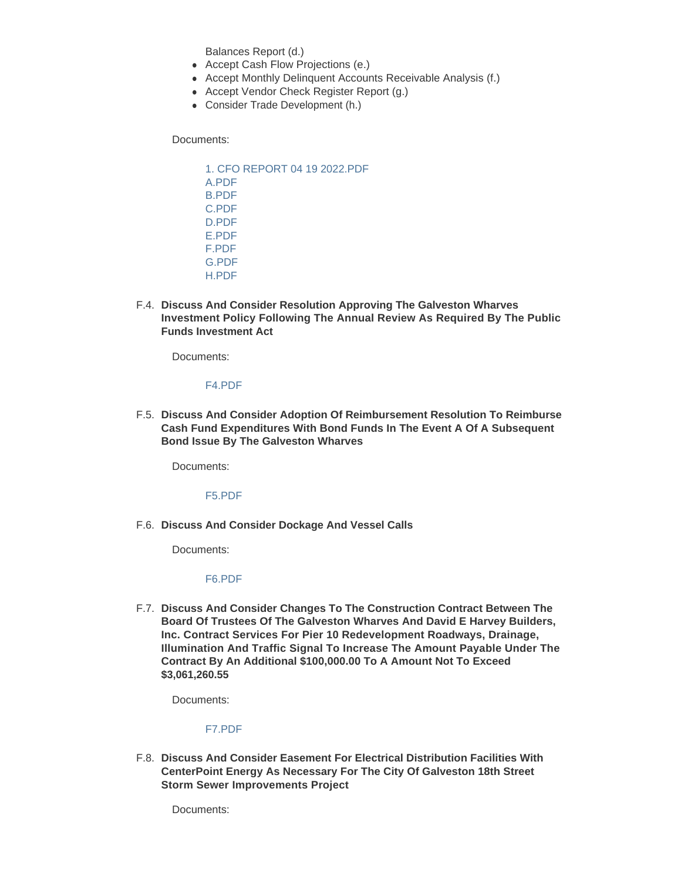Balances Report (d.)

- Accept Cash Flow Projections (e.)
- Accept Monthly Delinquent Accounts Receivable Analysis (f.)
- Accept Vendor Check Register Report (g.)
- Consider Trade Development (h.)

Documents:

[1. CFO REPORT 04 19 2022.PDF](https://www.portofgalveston.com/AgendaCenter/ViewFile/Item/4769?fileID=8494) [A.PDF](https://www.portofgalveston.com/AgendaCenter/ViewFile/Item/4769?fileID=8495) [B.PDF](https://www.portofgalveston.com/AgendaCenter/ViewFile/Item/4769?fileID=8496) [C.PDF](https://www.portofgalveston.com/AgendaCenter/ViewFile/Item/4769?fileID=8497) [D.PDF](https://www.portofgalveston.com/AgendaCenter/ViewFile/Item/4769?fileID=8498) [E.PDF](https://www.portofgalveston.com/AgendaCenter/ViewFile/Item/4769?fileID=8499) [F.PDF](https://www.portofgalveston.com/AgendaCenter/ViewFile/Item/4769?fileID=8500) [G.PDF](https://www.portofgalveston.com/AgendaCenter/ViewFile/Item/4769?fileID=8501) [H.PDF](https://www.portofgalveston.com/AgendaCenter/ViewFile/Item/4769?fileID=8502)

**Discuss And Consider Resolution Approving The Galveston Wharves**  F.4. **Investment Policy Following The Annual Review As Required By The Public Funds Investment Act**

Documents:

[F4.PDF](https://www.portofgalveston.com/AgendaCenter/ViewFile/Item/4782?fileID=8514)

**Discuss And Consider Adoption Of Reimbursement Resolution To Reimburse**  F.5. **Cash Fund Expenditures With Bond Funds In The Event A Of A Subsequent Bond Issue By The Galveston Wharves**

Documents:

[F5.PDF](https://www.portofgalveston.com/AgendaCenter/ViewFile/Item/4783?fileID=8554)

**Discuss And Consider Dockage And Vessel Calls** F.6.

Documents:

[F6.PDF](https://www.portofgalveston.com/AgendaCenter/ViewFile/Item/4795?fileID=8555)

**Discuss And Consider Changes To The Construction Contract Between The**  F.7. **Board Of Trustees Of The Galveston Wharves And David E Harvey Builders, Inc. Contract Services For Pier 10 Redevelopment Roadways, Drainage, Illumination And Traffic Signal To Increase The Amount Payable Under The Contract By An Additional \$100,000.00 To A Amount Not To Exceed \$3,061,260.55**

Documents:

[F7.PDF](https://www.portofgalveston.com/AgendaCenter/ViewFile/Item/4779?fileID=8509)

**Discuss And Consider Easement For Electrical Distribution Facilities With**  F.8. **CenterPoint Energy As Necessary For The City Of Galveston 18th Street Storm Sewer Improvements Project**

Documents: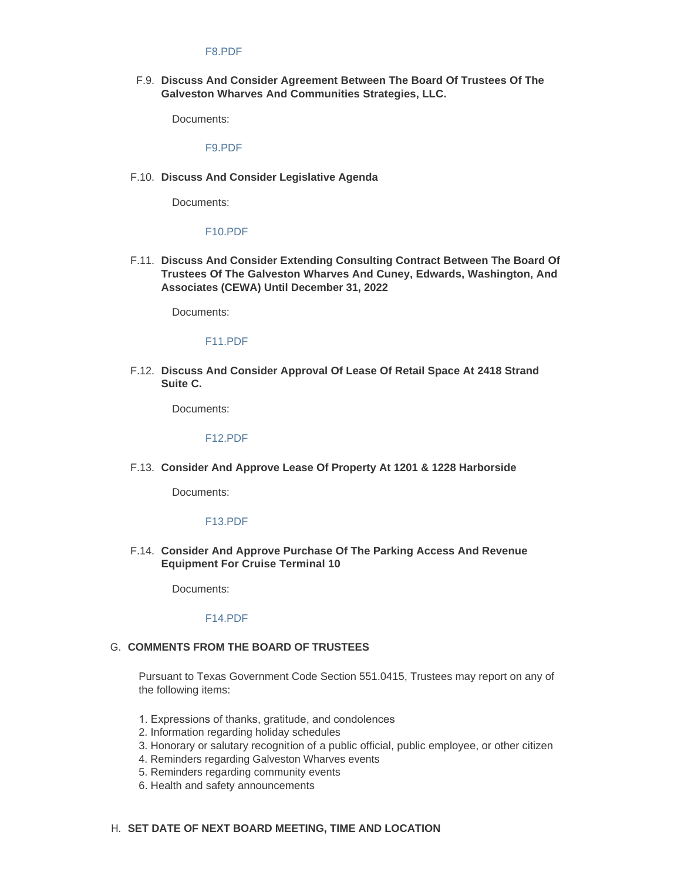#### [F8.PDF](https://www.portofgalveston.com/AgendaCenter/ViewFile/Item/4778?fileID=8511)

**Discuss And Consider Agreement Between The Board Of Trustees Of The**  F.9. **Galveston Wharves And Communities Strategies, LLC.** 

Documents:

### [F9.PDF](https://www.portofgalveston.com/AgendaCenter/ViewFile/Item/4786?fileID=8508)

**Discuss And Consider Legislative Agenda** F.10.

Documents:

#### [F10.PDF](https://www.portofgalveston.com/AgendaCenter/ViewFile/Item/4784?fileID=8513)

**Discuss And Consider Extending Consulting Contract Between The Board Of**  F.11. **Trustees Of The Galveston Wharves And Cuney, Edwards, Washington, And Associates (CEWA) Until December 31, 2022**

Documents:

#### [F11.PDF](https://www.portofgalveston.com/AgendaCenter/ViewFile/Item/4785?fileID=8512)

**Discuss And Consider Approval Of Lease Of Retail Space At 2418 Strand**  F.12. **Suite C.**

Documents:

[F12.PDF](https://www.portofgalveston.com/AgendaCenter/ViewFile/Item/4793?fileID=8529)

**Consider And Approve Lease Of Property At 1201 & 1228 Harborside** F.13.

Documents:

#### [F13.PDF](https://www.portofgalveston.com/AgendaCenter/ViewFile/Item/4791?fileID=8503)

**Consider And Approve Purchase Of The Parking Access And Revenue**  F.14. **Equipment For Cruise Terminal 10**

Documents:

### [F14.PDF](https://www.portofgalveston.com/AgendaCenter/ViewFile/Item/4792?fileID=8505)

#### G. COMMENTS FROM THE BOARD OF TRUSTEES

Pursuant to Texas Government Code Section 551.0415, Trustees may report on any of the following items:

- 1. Expressions of thanks, gratitude, and condolences
- 2. Information regarding holiday schedules
- 3. Honorary or salutary recognition of a public official, public employee, or other citizen
- 4. Reminders regarding Galveston Wharves events
- 5. Reminders regarding community events
- 6. Health and safety announcements

#### **SET DATE OF NEXT BOARD MEETING, TIME AND LOCATION** H.